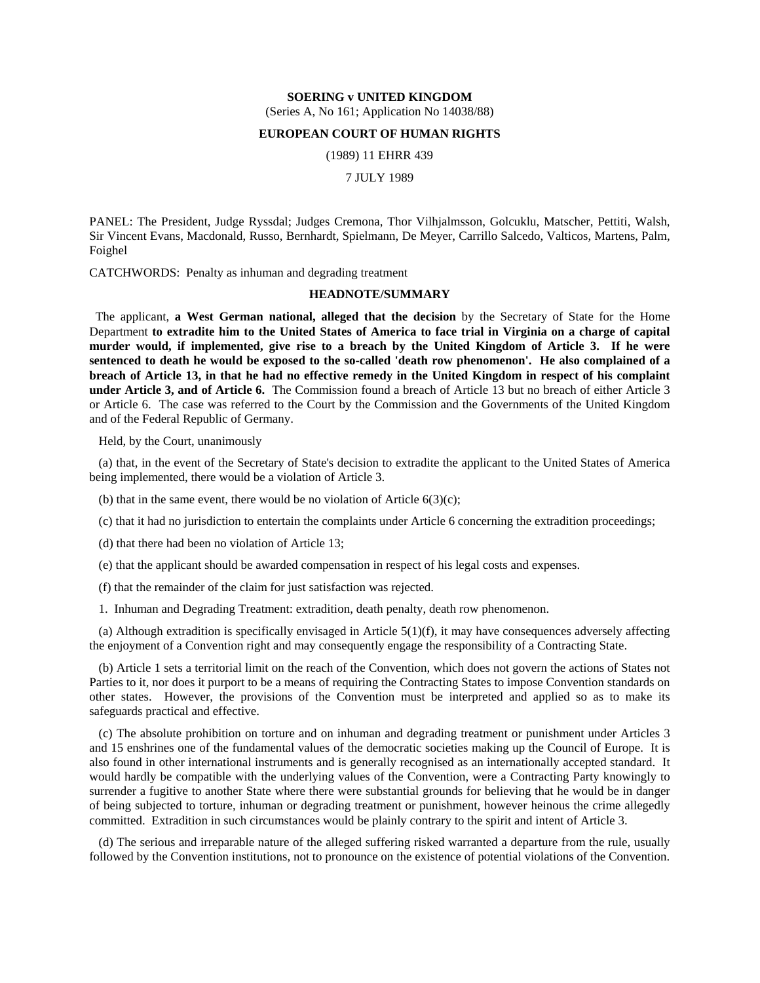#### **SOERING v UNITED KINGDOM**

(Series A, No 161; Application No 14038/88)

### **EUROPEAN COURT OF HUMAN RIGHTS**

(1989) 11 EHRR 439

7 JULY 1989

PANEL: The President, Judge Ryssdal; Judges Cremona, Thor Vilhjalmsson, Golcuklu, Matscher, Pettiti, Walsh, Sir Vincent Evans, Macdonald, Russo, Bernhardt, Spielmann, De Meyer, Carrillo Salcedo, Valticos, Martens, Palm, Foighel

CATCHWORDS: Penalty as inhuman and degrading treatment

# **HEADNOTE/SUMMARY**

 The applicant, **a West German national, alleged that the decision** by the Secretary of State for the Home Department **to extradite him to the United States of America to face trial in Virginia on a charge of capital murder would, if implemented, give rise to a breach by the United Kingdom of Article 3. If he were sentenced to death he would be exposed to the so-called 'death row phenomenon'. He also complained of a breach of Article 13, in that he had no effective remedy in the United Kingdom in respect of his complaint under Article 3, and of Article 6.** The Commission found a breach of Article 13 but no breach of either Article 3 or Article 6. The case was referred to the Court by the Commission and the Governments of the United Kingdom and of the Federal Republic of Germany.

Held, by the Court, unanimously

 (a) that, in the event of the Secretary of State's decision to extradite the applicant to the United States of America being implemented, there would be a violation of Article 3.

(b) that in the same event, there would be no violation of Article  $6(3)(c)$ ;

(c) that it had no jurisdiction to entertain the complaints under Article 6 concerning the extradition proceedings;

(d) that there had been no violation of Article 13;

(e) that the applicant should be awarded compensation in respect of his legal costs and expenses.

(f) that the remainder of the claim for just satisfaction was rejected.

1. Inhuman and Degrading Treatment: extradition, death penalty, death row phenomenon.

(a) Although extradition is specifically envisaged in Article  $5(1)(f)$ , it may have consequences adversely affecting the enjoyment of a Convention right and may consequently engage the responsibility of a Contracting State.

 (b) Article 1 sets a territorial limit on the reach of the Convention, which does not govern the actions of States not Parties to it, nor does it purport to be a means of requiring the Contracting States to impose Convention standards on other states. However, the provisions of the Convention must be interpreted and applied so as to make its safeguards practical and effective.

 (c) The absolute prohibition on torture and on inhuman and degrading treatment or punishment under Articles 3 and 15 enshrines one of the fundamental values of the democratic societies making up the Council of Europe. It is also found in other international instruments and is generally recognised as an internationally accepted standard. It would hardly be compatible with the underlying values of the Convention, were a Contracting Party knowingly to surrender a fugitive to another State where there were substantial grounds for believing that he would be in danger of being subjected to torture, inhuman or degrading treatment or punishment, however heinous the crime allegedly committed. Extradition in such circumstances would be plainly contrary to the spirit and intent of Article 3.

 (d) The serious and irreparable nature of the alleged suffering risked warranted a departure from the rule, usually followed by the Convention institutions, not to pronounce on the existence of potential violations of the Convention.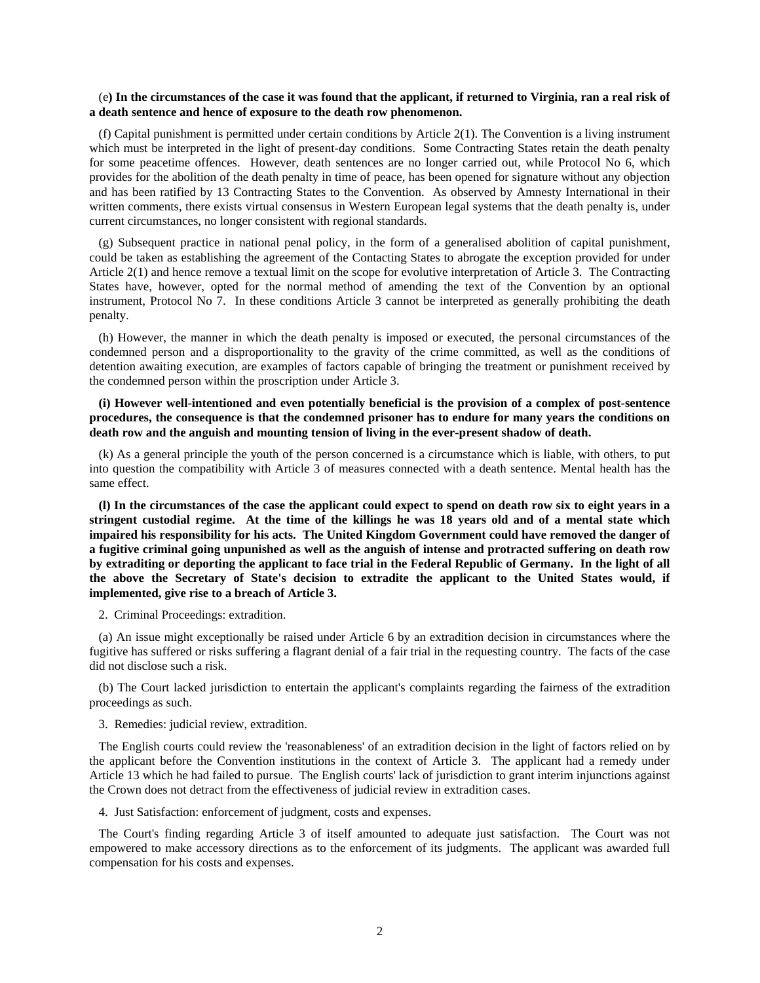## (e**) In the circumstances of the case it was found that the applicant, if returned to Virginia, ran a real risk of a death sentence and hence of exposure to the death row phenomenon.**

 (f) Capital punishment is permitted under certain conditions by Article 2(1). The Convention is a living instrument which must be interpreted in the light of present-day conditions. Some Contracting States retain the death penalty for some peacetime offences. However, death sentences are no longer carried out, while Protocol No 6, which provides for the abolition of the death penalty in time of peace, has been opened for signature without any objection and has been ratified by 13 Contracting States to the Convention. As observed by Amnesty International in their written comments, there exists virtual consensus in Western European legal systems that the death penalty is, under current circumstances, no longer consistent with regional standards.

 (g) Subsequent practice in national penal policy, in the form of a generalised abolition of capital punishment, could be taken as establishing the agreement of the Contacting States to abrogate the exception provided for under Article 2(1) and hence remove a textual limit on the scope for evolutive interpretation of Article 3. The Contracting States have, however, opted for the normal method of amending the text of the Convention by an optional instrument, Protocol No 7. In these conditions Article 3 cannot be interpreted as generally prohibiting the death penalty.

 (h) However, the manner in which the death penalty is imposed or executed, the personal circumstances of the condemned person and a disproportionality to the gravity of the crime committed, as well as the conditions of detention awaiting execution, are examples of factors capable of bringing the treatment or punishment received by the condemned person within the proscription under Article 3.

# **(i) However well-intentioned and even potentially beneficial is the provision of a complex of post-sentence procedures, the consequence is that the condemned prisoner has to endure for many years the conditions on death row and the anguish and mounting tension of living in the ever-present shadow of death.**

 (k) As a general principle the youth of the person concerned is a circumstance which is liable, with others, to put into question the compatibility with Article 3 of measures connected with a death sentence. Mental health has the same effect.

 **(l) In the circumstances of the case the applicant could expect to spend on death row six to eight years in a stringent custodial regime. At the time of the killings he was 18 years old and of a mental state which impaired his responsibility for his acts. The United Kingdom Government could have removed the danger of a fugitive criminal going unpunished as well as the anguish of intense and protracted suffering on death row by extraditing or deporting the applicant to face trial in the Federal Republic of Germany. In the light of all the above the Secretary of State's decision to extradite the applicant to the United States would, if implemented, give rise to a breach of Article 3.** 

2. Criminal Proceedings: extradition.

 (a) An issue might exceptionally be raised under Article 6 by an extradition decision in circumstances where the fugitive has suffered or risks suffering a flagrant denial of a fair trial in the requesting country. The facts of the case did not disclose such a risk.

 (b) The Court lacked jurisdiction to entertain the applicant's complaints regarding the fairness of the extradition proceedings as such.

3. Remedies: judicial review, extradition.

 The English courts could review the 'reasonableness' of an extradition decision in the light of factors relied on by the applicant before the Convention institutions in the context of Article 3. The applicant had a remedy under Article 13 which he had failed to pursue. The English courts' lack of jurisdiction to grant interim injunctions against the Crown does not detract from the effectiveness of judicial review in extradition cases.

4. Just Satisfaction: enforcement of judgment, costs and expenses.

 The Court's finding regarding Article 3 of itself amounted to adequate just satisfaction. The Court was not empowered to make accessory directions as to the enforcement of its judgments. The applicant was awarded full compensation for his costs and expenses.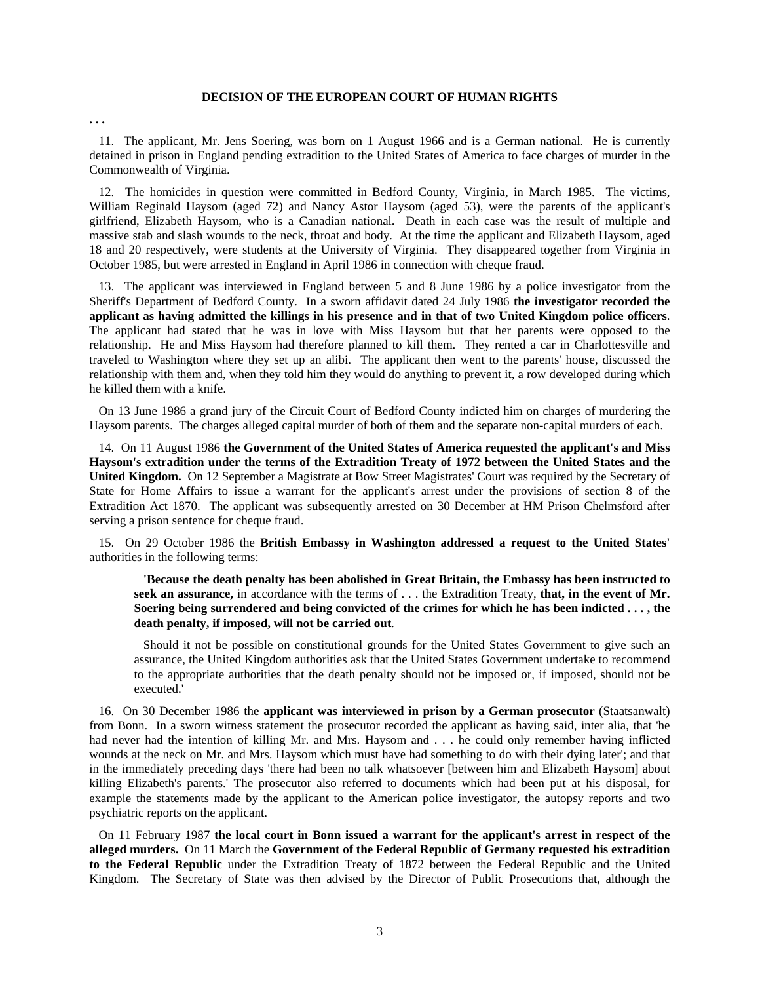## **DECISION OF THE EUROPEAN COURT OF HUMAN RIGHTS**

**. . .** 

 11. The applicant, Mr. Jens Soering, was born on 1 August 1966 and is a German national. He is currently detained in prison in England pending extradition to the United States of America to face charges of murder in the Commonwealth of Virginia.

 12. The homicides in question were committed in Bedford County, Virginia, in March 1985. The victims, William Reginald Haysom (aged 72) and Nancy Astor Haysom (aged 53), were the parents of the applicant's girlfriend, Elizabeth Haysom, who is a Canadian national. Death in each case was the result of multiple and massive stab and slash wounds to the neck, throat and body. At the time the applicant and Elizabeth Haysom, aged 18 and 20 respectively, were students at the University of Virginia. They disappeared together from Virginia in October 1985, but were arrested in England in April 1986 in connection with cheque fraud.

 13. The applicant was interviewed in England between 5 and 8 June 1986 by a police investigator from the Sheriff's Department of Bedford County. In a sworn affidavit dated 24 July 1986 **the investigator recorded the applicant as having admitted the killings in his presence and in that of two United Kingdom police officers**. The applicant had stated that he was in love with Miss Haysom but that her parents were opposed to the relationship. He and Miss Haysom had therefore planned to kill them. They rented a car in Charlottesville and traveled to Washington where they set up an alibi. The applicant then went to the parents' house, discussed the relationship with them and, when they told him they would do anything to prevent it, a row developed during which he killed them with a knife.

 On 13 June 1986 a grand jury of the Circuit Court of Bedford County indicted him on charges of murdering the Haysom parents. The charges alleged capital murder of both of them and the separate non-capital murders of each.

 14. On 11 August 1986 **the Government of the United States of America requested the applicant's and Miss Haysom's extradition under the terms of the Extradition Treaty of 1972 between the United States and the United Kingdom.** On 12 September a Magistrate at Bow Street Magistrates' Court was required by the Secretary of State for Home Affairs to issue a warrant for the applicant's arrest under the provisions of section 8 of the Extradition Act 1870. The applicant was subsequently arrested on 30 December at HM Prison Chelmsford after serving a prison sentence for cheque fraud.

 15. On 29 October 1986 the **British Embassy in Washington addressed a request to the United States'** authorities in the following terms:

 **'Because the death penalty has been abolished in Great Britain, the Embassy has been instructed to seek an assurance,** in accordance with the terms of . . . the Extradition Treaty, **that, in the event of Mr. Soering being surrendered and being convicted of the crimes for which he has been indicted . . . , the death penalty, if imposed, will not be carried out**.

 Should it not be possible on constitutional grounds for the United States Government to give such an assurance, the United Kingdom authorities ask that the United States Government undertake to recommend to the appropriate authorities that the death penalty should not be imposed or, if imposed, should not be executed.'

 16. On 30 December 1986 the **applicant was interviewed in prison by a German prosecutor** (Staatsanwalt) from Bonn. In a sworn witness statement the prosecutor recorded the applicant as having said, inter alia, that 'he had never had the intention of killing Mr. and Mrs. Haysom and . . . he could only remember having inflicted wounds at the neck on Mr. and Mrs. Haysom which must have had something to do with their dying later'; and that in the immediately preceding days 'there had been no talk whatsoever [between him and Elizabeth Haysom] about killing Elizabeth's parents.' The prosecutor also referred to documents which had been put at his disposal, for example the statements made by the applicant to the American police investigator, the autopsy reports and two psychiatric reports on the applicant.

 On 11 February 1987 **the local court in Bonn issued a warrant for the applicant's arrest in respect of the alleged murders.** On 11 March the **Government of the Federal Republic of Germany requested his extradition to the Federal Republic** under the Extradition Treaty of 1872 between the Federal Republic and the United Kingdom. The Secretary of State was then advised by the Director of Public Prosecutions that, although the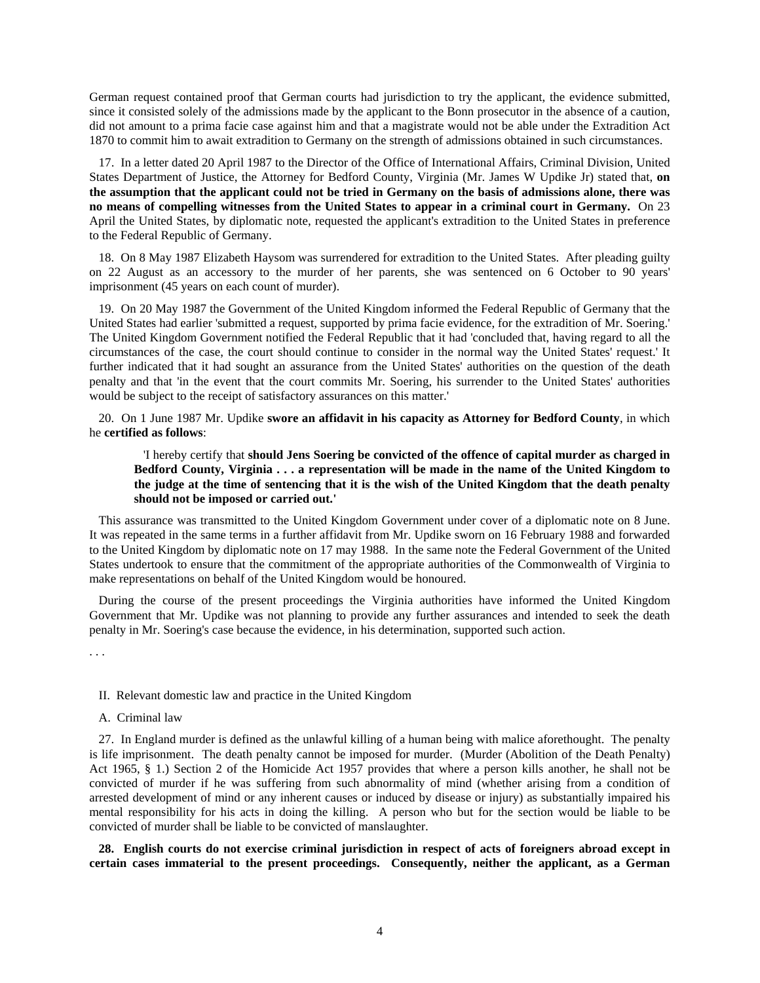German request contained proof that German courts had jurisdiction to try the applicant, the evidence submitted, since it consisted solely of the admissions made by the applicant to the Bonn prosecutor in the absence of a caution, did not amount to a prima facie case against him and that a magistrate would not be able under the Extradition Act 1870 to commit him to await extradition to Germany on the strength of admissions obtained in such circumstances.

 17. In a letter dated 20 April 1987 to the Director of the Office of International Affairs, Criminal Division, United States Department of Justice, the Attorney for Bedford County, Virginia (Mr. James W Updike Jr) stated that, **on the assumption that the applicant could not be tried in Germany on the basis of admissions alone, there was no means of compelling witnesses from the United States to appear in a criminal court in Germany.** On 23 April the United States, by diplomatic note, requested the applicant's extradition to the United States in preference to the Federal Republic of Germany.

 18. On 8 May 1987 Elizabeth Haysom was surrendered for extradition to the United States. After pleading guilty on 22 August as an accessory to the murder of her parents, she was sentenced on 6 October to 90 years' imprisonment (45 years on each count of murder).

 19. On 20 May 1987 the Government of the United Kingdom informed the Federal Republic of Germany that the United States had earlier 'submitted a request, supported by prima facie evidence, for the extradition of Mr. Soering.' The United Kingdom Government notified the Federal Republic that it had 'concluded that, having regard to all the circumstances of the case, the court should continue to consider in the normal way the United States' request.' It further indicated that it had sought an assurance from the United States' authorities on the question of the death penalty and that 'in the event that the court commits Mr. Soering, his surrender to the United States' authorities would be subject to the receipt of satisfactory assurances on this matter.'

 20. On 1 June 1987 Mr. Updike **swore an affidavit in his capacity as Attorney for Bedford County**, in which he **certified as follows**:

 'I hereby certify that **should Jens Soering be convicted of the offence of capital murder as charged in Bedford County, Virginia . . . a representation will be made in the name of the United Kingdom to the judge at the time of sentencing that it is the wish of the United Kingdom that the death penalty should not be imposed or carried out.'**

 This assurance was transmitted to the United Kingdom Government under cover of a diplomatic note on 8 June. It was repeated in the same terms in a further affidavit from Mr. Updike sworn on 16 February 1988 and forwarded to the United Kingdom by diplomatic note on 17 may 1988. In the same note the Federal Government of the United States undertook to ensure that the commitment of the appropriate authorities of the Commonwealth of Virginia to make representations on behalf of the United Kingdom would be honoured.

 During the course of the present proceedings the Virginia authorities have informed the United Kingdom Government that Mr. Updike was not planning to provide any further assurances and intended to seek the death penalty in Mr. Soering's case because the evidence, in his determination, supported such action.

. . .

# II. Relevant domestic law and practice in the United Kingdom

A. Criminal law

 27. In England murder is defined as the unlawful killing of a human being with malice aforethought. The penalty is life imprisonment. The death penalty cannot be imposed for murder. (Murder (Abolition of the Death Penalty) Act 1965, § 1.) Section 2 of the Homicide Act 1957 provides that where a person kills another, he shall not be convicted of murder if he was suffering from such abnormality of mind (whether arising from a condition of arrested development of mind or any inherent causes or induced by disease or injury) as substantially impaired his mental responsibility for his acts in doing the killing. A person who but for the section would be liable to be convicted of murder shall be liable to be convicted of manslaughter.

 **28. English courts do not exercise criminal jurisdiction in respect of acts of foreigners abroad except in certain cases immaterial to the present proceedings. Consequently, neither the applicant, as a German**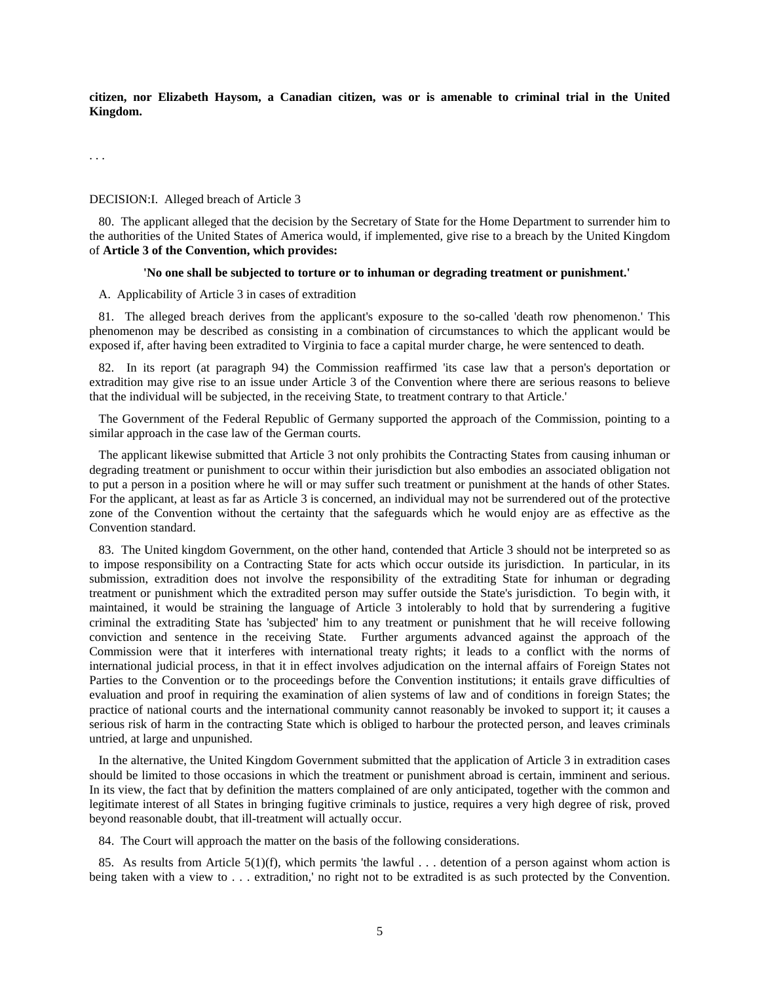**citizen, nor Elizabeth Haysom, a Canadian citizen, was or is amenable to criminal trial in the United Kingdom.** 

. . .

DECISION:I. Alleged breach of Article 3

 80. The applicant alleged that the decision by the Secretary of State for the Home Department to surrender him to the authorities of the United States of America would, if implemented, give rise to a breach by the United Kingdom of **Article 3 of the Convention, which provides:** 

### **'No one shall be subjected to torture or to inhuman or degrading treatment or punishment.'**

A. Applicability of Article 3 in cases of extradition

 81. The alleged breach derives from the applicant's exposure to the so-called 'death row phenomenon.' This phenomenon may be described as consisting in a combination of circumstances to which the applicant would be exposed if, after having been extradited to Virginia to face a capital murder charge, he were sentenced to death.

 82. In its report (at paragraph 94) the Commission reaffirmed 'its case law that a person's deportation or extradition may give rise to an issue under Article 3 of the Convention where there are serious reasons to believe that the individual will be subjected, in the receiving State, to treatment contrary to that Article.'

 The Government of the Federal Republic of Germany supported the approach of the Commission, pointing to a similar approach in the case law of the German courts.

 The applicant likewise submitted that Article 3 not only prohibits the Contracting States from causing inhuman or degrading treatment or punishment to occur within their jurisdiction but also embodies an associated obligation not to put a person in a position where he will or may suffer such treatment or punishment at the hands of other States. For the applicant, at least as far as Article 3 is concerned, an individual may not be surrendered out of the protective zone of the Convention without the certainty that the safeguards which he would enjoy are as effective as the Convention standard.

 83. The United kingdom Government, on the other hand, contended that Article 3 should not be interpreted so as to impose responsibility on a Contracting State for acts which occur outside its jurisdiction. In particular, in its submission, extradition does not involve the responsibility of the extraditing State for inhuman or degrading treatment or punishment which the extradited person may suffer outside the State's jurisdiction. To begin with, it maintained, it would be straining the language of Article 3 intolerably to hold that by surrendering a fugitive criminal the extraditing State has 'subjected' him to any treatment or punishment that he will receive following conviction and sentence in the receiving State. Further arguments advanced against the approach of the Commission were that it interferes with international treaty rights; it leads to a conflict with the norms of international judicial process, in that it in effect involves adjudication on the internal affairs of Foreign States not Parties to the Convention or to the proceedings before the Convention institutions; it entails grave difficulties of evaluation and proof in requiring the examination of alien systems of law and of conditions in foreign States; the practice of national courts and the international community cannot reasonably be invoked to support it; it causes a serious risk of harm in the contracting State which is obliged to harbour the protected person, and leaves criminals untried, at large and unpunished.

 In the alternative, the United Kingdom Government submitted that the application of Article 3 in extradition cases should be limited to those occasions in which the treatment or punishment abroad is certain, imminent and serious. In its view, the fact that by definition the matters complained of are only anticipated, together with the common and legitimate interest of all States in bringing fugitive criminals to justice, requires a very high degree of risk, proved beyond reasonable doubt, that ill-treatment will actually occur.

84. The Court will approach the matter on the basis of the following considerations.

85. As results from Article  $5(1)(f)$ , which permits 'the lawful . . . detention of a person against whom action is being taken with a view to . . . extradition,' no right not to be extradited is as such protected by the Convention.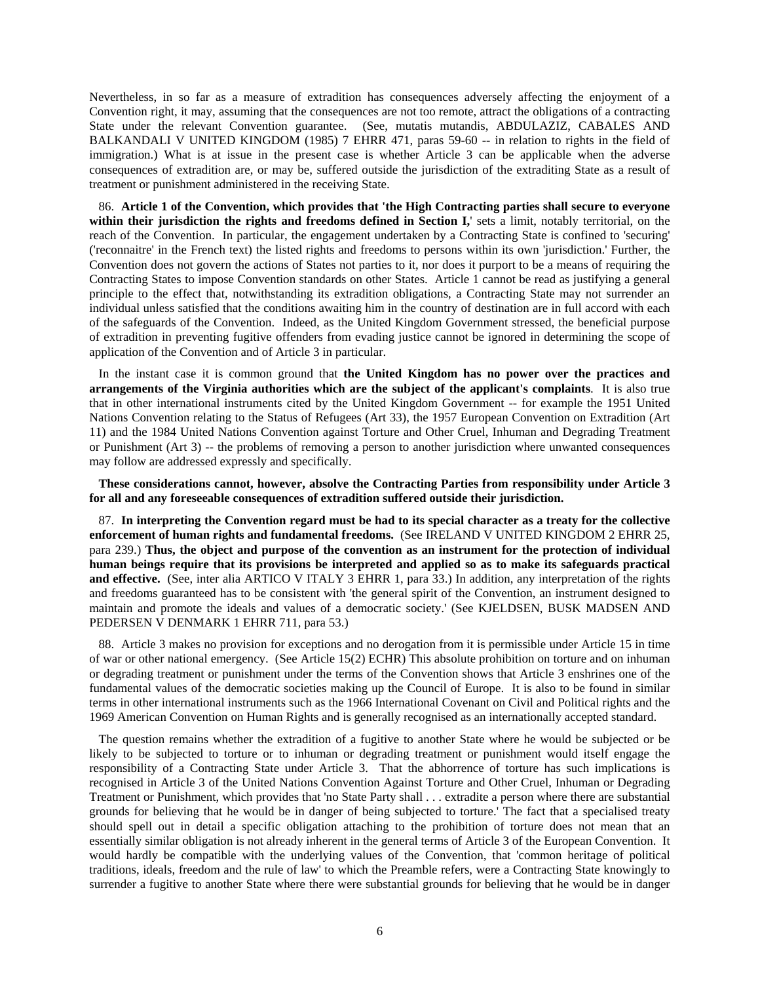Nevertheless, in so far as a measure of extradition has consequences adversely affecting the enjoyment of a Convention right, it may, assuming that the consequences are not too remote, attract the obligations of a contracting State under the relevant Convention guarantee. (See, mutatis mutandis, ABDULAZIZ, CABALES AND BALKANDALI V UNITED KINGDOM (1985) 7 EHRR 471, paras 59-60 -- in relation to rights in the field of immigration.) What is at issue in the present case is whether Article 3 can be applicable when the adverse consequences of extradition are, or may be, suffered outside the jurisdiction of the extraditing State as a result of treatment or punishment administered in the receiving State.

 86. **Article 1 of the Convention, which provides that 'the High Contracting parties shall secure to everyone within their jurisdiction the rights and freedoms defined in Section I,**' sets a limit, notably territorial, on the reach of the Convention. In particular, the engagement undertaken by a Contracting State is confined to 'securing' ('reconnaitre' in the French text) the listed rights and freedoms to persons within its own 'jurisdiction.' Further, the Convention does not govern the actions of States not parties to it, nor does it purport to be a means of requiring the Contracting States to impose Convention standards on other States. Article 1 cannot be read as justifying a general principle to the effect that, notwithstanding its extradition obligations, a Contracting State may not surrender an individual unless satisfied that the conditions awaiting him in the country of destination are in full accord with each of the safeguards of the Convention. Indeed, as the United Kingdom Government stressed, the beneficial purpose of extradition in preventing fugitive offenders from evading justice cannot be ignored in determining the scope of application of the Convention and of Article 3 in particular.

 In the instant case it is common ground that **the United Kingdom has no power over the practices and arrangements of the Virginia authorities which are the subject of the applicant's complaints**. It is also true that in other international instruments cited by the United Kingdom Government -- for example the 1951 United Nations Convention relating to the Status of Refugees (Art 33), the 1957 European Convention on Extradition (Art 11) and the 1984 United Nations Convention against Torture and Other Cruel, Inhuman and Degrading Treatment or Punishment (Art 3) -- the problems of removing a person to another jurisdiction where unwanted consequences may follow are addressed expressly and specifically.

 **These considerations cannot, however, absolve the Contracting Parties from responsibility under Article 3 for all and any foreseeable consequences of extradition suffered outside their jurisdiction.** 

 87. **In interpreting the Convention regard must be had to its special character as a treaty for the collective enforcement of human rights and fundamental freedoms.** (See IRELAND V UNITED KINGDOM 2 EHRR 25, para 239.) **Thus, the object and purpose of the convention as an instrument for the protection of individual human beings require that its provisions be interpreted and applied so as to make its safeguards practical and effective.** (See, inter alia ARTICO V ITALY 3 EHRR 1, para 33.) In addition, any interpretation of the rights and freedoms guaranteed has to be consistent with 'the general spirit of the Convention, an instrument designed to maintain and promote the ideals and values of a democratic society.' (See KJELDSEN, BUSK MADSEN AND PEDERSEN V DENMARK 1 EHRR 711, para 53.)

 88. Article 3 makes no provision for exceptions and no derogation from it is permissible under Article 15 in time of war or other national emergency. (See Article 15(2) ECHR) This absolute prohibition on torture and on inhuman or degrading treatment or punishment under the terms of the Convention shows that Article 3 enshrines one of the fundamental values of the democratic societies making up the Council of Europe. It is also to be found in similar terms in other international instruments such as the 1966 International Covenant on Civil and Political rights and the 1969 American Convention on Human Rights and is generally recognised as an internationally accepted standard.

 The question remains whether the extradition of a fugitive to another State where he would be subjected or be likely to be subjected to torture or to inhuman or degrading treatment or punishment would itself engage the responsibility of a Contracting State under Article 3. That the abhorrence of torture has such implications is recognised in Article 3 of the United Nations Convention Against Torture and Other Cruel, Inhuman or Degrading Treatment or Punishment, which provides that 'no State Party shall . . . extradite a person where there are substantial grounds for believing that he would be in danger of being subjected to torture.' The fact that a specialised treaty should spell out in detail a specific obligation attaching to the prohibition of torture does not mean that an essentially similar obligation is not already inherent in the general terms of Article 3 of the European Convention. It would hardly be compatible with the underlying values of the Convention, that 'common heritage of political traditions, ideals, freedom and the rule of law' to which the Preamble refers, were a Contracting State knowingly to surrender a fugitive to another State where there were substantial grounds for believing that he would be in danger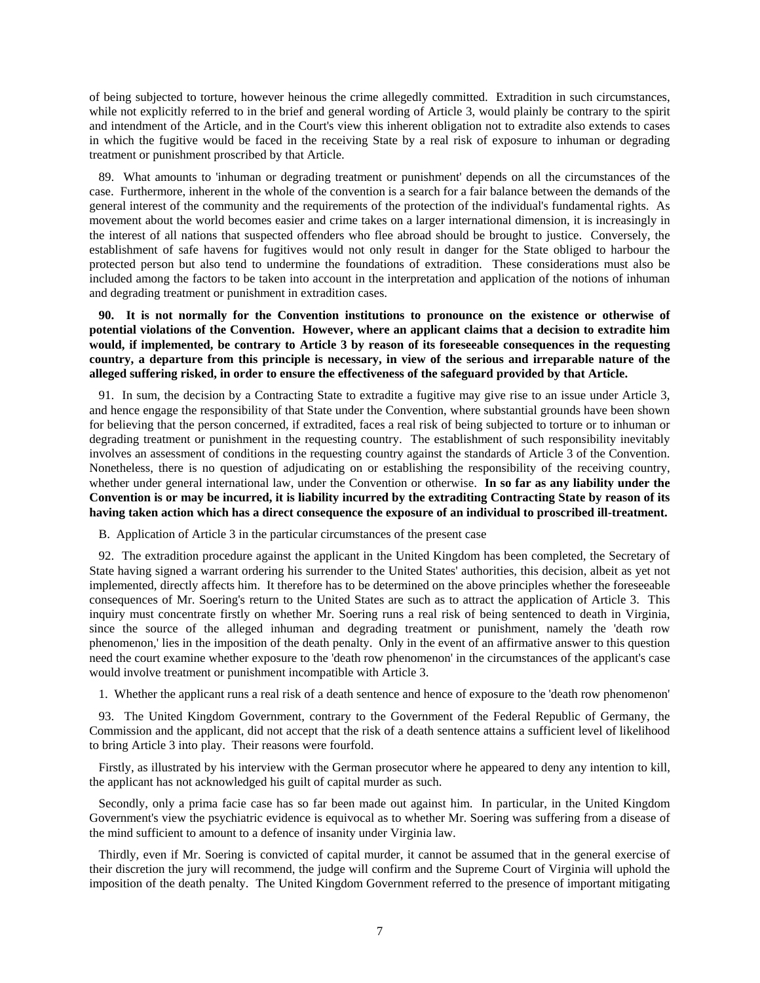of being subjected to torture, however heinous the crime allegedly committed. Extradition in such circumstances, while not explicitly referred to in the brief and general wording of Article 3, would plainly be contrary to the spirit and intendment of the Article, and in the Court's view this inherent obligation not to extradite also extends to cases in which the fugitive would be faced in the receiving State by a real risk of exposure to inhuman or degrading treatment or punishment proscribed by that Article.

 89. What amounts to 'inhuman or degrading treatment or punishment' depends on all the circumstances of the case. Furthermore, inherent in the whole of the convention is a search for a fair balance between the demands of the general interest of the community and the requirements of the protection of the individual's fundamental rights. As movement about the world becomes easier and crime takes on a larger international dimension, it is increasingly in the interest of all nations that suspected offenders who flee abroad should be brought to justice. Conversely, the establishment of safe havens for fugitives would not only result in danger for the State obliged to harbour the protected person but also tend to undermine the foundations of extradition. These considerations must also be included among the factors to be taken into account in the interpretation and application of the notions of inhuman and degrading treatment or punishment in extradition cases.

 **90. It is not normally for the Convention institutions to pronounce on the existence or otherwise of potential violations of the Convention. However, where an applicant claims that a decision to extradite him would, if implemented, be contrary to Article 3 by reason of its foreseeable consequences in the requesting country, a departure from this principle is necessary, in view of the serious and irreparable nature of the alleged suffering risked, in order to ensure the effectiveness of the safeguard provided by that Article.** 

 91. In sum, the decision by a Contracting State to extradite a fugitive may give rise to an issue under Article 3, and hence engage the responsibility of that State under the Convention, where substantial grounds have been shown for believing that the person concerned, if extradited, faces a real risk of being subjected to torture or to inhuman or degrading treatment or punishment in the requesting country. The establishment of such responsibility inevitably involves an assessment of conditions in the requesting country against the standards of Article 3 of the Convention. Nonetheless, there is no question of adjudicating on or establishing the responsibility of the receiving country, whether under general international law, under the Convention or otherwise. **In so far as any liability under the Convention is or may be incurred, it is liability incurred by the extraditing Contracting State by reason of its having taken action which has a direct consequence the exposure of an individual to proscribed ill-treatment.**

B. Application of Article 3 in the particular circumstances of the present case

 92. The extradition procedure against the applicant in the United Kingdom has been completed, the Secretary of State having signed a warrant ordering his surrender to the United States' authorities, this decision, albeit as yet not implemented, directly affects him. It therefore has to be determined on the above principles whether the foreseeable consequences of Mr. Soering's return to the United States are such as to attract the application of Article 3. This inquiry must concentrate firstly on whether Mr. Soering runs a real risk of being sentenced to death in Virginia, since the source of the alleged inhuman and degrading treatment or punishment, namely the 'death row phenomenon,' lies in the imposition of the death penalty. Only in the event of an affirmative answer to this question need the court examine whether exposure to the 'death row phenomenon' in the circumstances of the applicant's case would involve treatment or punishment incompatible with Article 3.

1. Whether the applicant runs a real risk of a death sentence and hence of exposure to the 'death row phenomenon'

 93. The United Kingdom Government, contrary to the Government of the Federal Republic of Germany, the Commission and the applicant, did not accept that the risk of a death sentence attains a sufficient level of likelihood to bring Article 3 into play. Their reasons were fourfold.

 Firstly, as illustrated by his interview with the German prosecutor where he appeared to deny any intention to kill, the applicant has not acknowledged his guilt of capital murder as such.

 Secondly, only a prima facie case has so far been made out against him. In particular, in the United Kingdom Government's view the psychiatric evidence is equivocal as to whether Mr. Soering was suffering from a disease of the mind sufficient to amount to a defence of insanity under Virginia law.

 Thirdly, even if Mr. Soering is convicted of capital murder, it cannot be assumed that in the general exercise of their discretion the jury will recommend, the judge will confirm and the Supreme Court of Virginia will uphold the imposition of the death penalty. The United Kingdom Government referred to the presence of important mitigating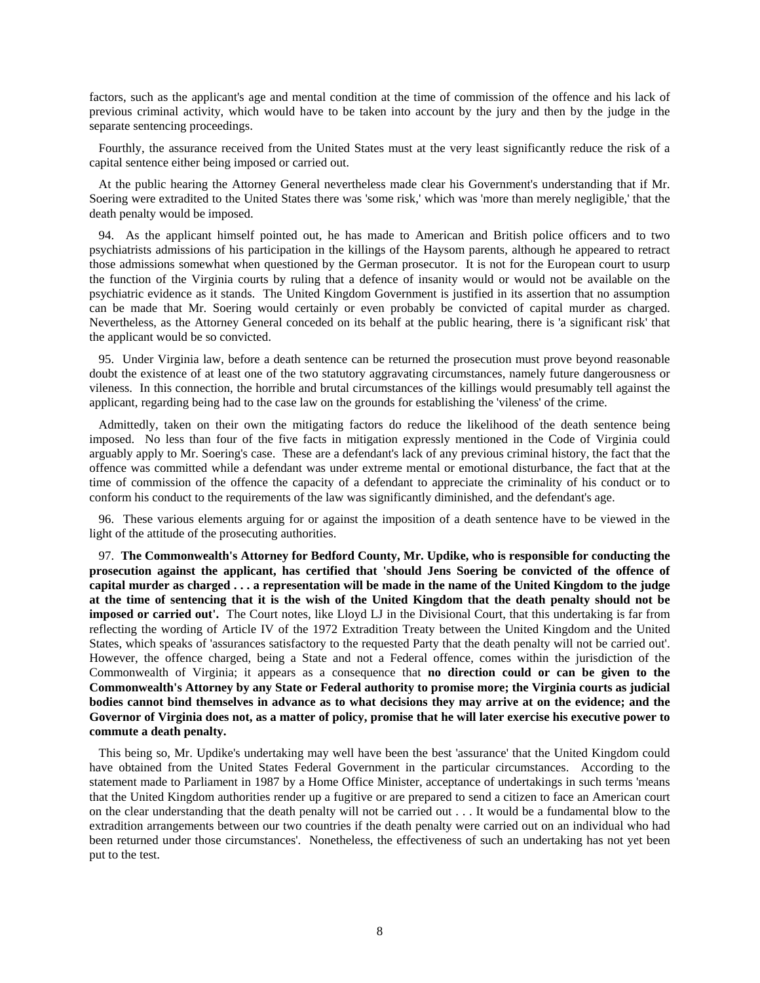factors, such as the applicant's age and mental condition at the time of commission of the offence and his lack of previous criminal activity, which would have to be taken into account by the jury and then by the judge in the separate sentencing proceedings.

 Fourthly, the assurance received from the United States must at the very least significantly reduce the risk of a capital sentence either being imposed or carried out.

 At the public hearing the Attorney General nevertheless made clear his Government's understanding that if Mr. Soering were extradited to the United States there was 'some risk,' which was 'more than merely negligible,' that the death penalty would be imposed.

 94. As the applicant himself pointed out, he has made to American and British police officers and to two psychiatrists admissions of his participation in the killings of the Haysom parents, although he appeared to retract those admissions somewhat when questioned by the German prosecutor. It is not for the European court to usurp the function of the Virginia courts by ruling that a defence of insanity would or would not be available on the psychiatric evidence as it stands. The United Kingdom Government is justified in its assertion that no assumption can be made that Mr. Soering would certainly or even probably be convicted of capital murder as charged. Nevertheless, as the Attorney General conceded on its behalf at the public hearing, there is 'a significant risk' that the applicant would be so convicted.

 95. Under Virginia law, before a death sentence can be returned the prosecution must prove beyond reasonable doubt the existence of at least one of the two statutory aggravating circumstances, namely future dangerousness or vileness. In this connection, the horrible and brutal circumstances of the killings would presumably tell against the applicant, regarding being had to the case law on the grounds for establishing the 'vileness' of the crime.

 Admittedly, taken on their own the mitigating factors do reduce the likelihood of the death sentence being imposed. No less than four of the five facts in mitigation expressly mentioned in the Code of Virginia could arguably apply to Mr. Soering's case. These are a defendant's lack of any previous criminal history, the fact that the offence was committed while a defendant was under extreme mental or emotional disturbance, the fact that at the time of commission of the offence the capacity of a defendant to appreciate the criminality of his conduct or to conform his conduct to the requirements of the law was significantly diminished, and the defendant's age.

 96. These various elements arguing for or against the imposition of a death sentence have to be viewed in the light of the attitude of the prosecuting authorities.

 97. **The Commonwealth's Attorney for Bedford County, Mr. Updike, who is responsible for conducting the prosecution against the applicant, has certified that 'should Jens Soering be convicted of the offence of capital murder as charged . . . a representation will be made in the name of the United Kingdom to the judge at the time of sentencing that it is the wish of the United Kingdom that the death penalty should not be imposed or carried out'.** The Court notes, like Lloyd LJ in the Divisional Court, that this undertaking is far from reflecting the wording of Article IV of the 1972 Extradition Treaty between the United Kingdom and the United States, which speaks of 'assurances satisfactory to the requested Party that the death penalty will not be carried out'. However, the offence charged, being a State and not a Federal offence, comes within the jurisdiction of the Commonwealth of Virginia; it appears as a consequence that **no direction could or can be given to the Commonwealth's Attorney by any State or Federal authority to promise more; the Virginia courts as judicial bodies cannot bind themselves in advance as to what decisions they may arrive at on the evidence; and the Governor of Virginia does not, as a matter of policy, promise that he will later exercise his executive power to commute a death penalty.**

 This being so, Mr. Updike's undertaking may well have been the best 'assurance' that the United Kingdom could have obtained from the United States Federal Government in the particular circumstances. According to the statement made to Parliament in 1987 by a Home Office Minister, acceptance of undertakings in such terms 'means that the United Kingdom authorities render up a fugitive or are prepared to send a citizen to face an American court on the clear understanding that the death penalty will not be carried out . . . It would be a fundamental blow to the extradition arrangements between our two countries if the death penalty were carried out on an individual who had been returned under those circumstances'. Nonetheless, the effectiveness of such an undertaking has not yet been put to the test.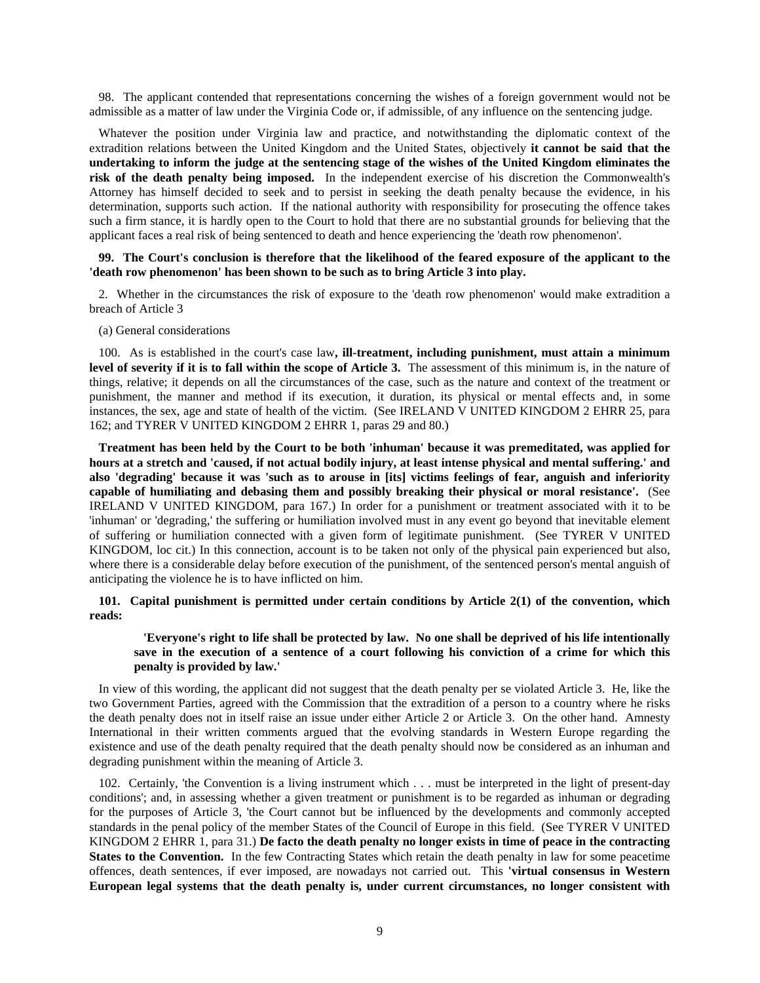98. The applicant contended that representations concerning the wishes of a foreign government would not be admissible as a matter of law under the Virginia Code or, if admissible, of any influence on the sentencing judge.

 Whatever the position under Virginia law and practice, and notwithstanding the diplomatic context of the extradition relations between the United Kingdom and the United States, objectively **it cannot be said that the undertaking to inform the judge at the sentencing stage of the wishes of the United Kingdom eliminates the risk of the death penalty being imposed.** In the independent exercise of his discretion the Commonwealth's Attorney has himself decided to seek and to persist in seeking the death penalty because the evidence, in his determination, supports such action. If the national authority with responsibility for prosecuting the offence takes such a firm stance, it is hardly open to the Court to hold that there are no substantial grounds for believing that the applicant faces a real risk of being sentenced to death and hence experiencing the 'death row phenomenon'.

## **99. The Court's conclusion is therefore that the likelihood of the feared exposure of the applicant to the 'death row phenomenon' has been shown to be such as to bring Article 3 into play.**

 2. Whether in the circumstances the risk of exposure to the 'death row phenomenon' would make extradition a breach of Article 3

## (a) General considerations

 100. As is established in the court's case law**, ill-treatment, including punishment, must attain a minimum level of severity if it is to fall within the scope of Article 3.** The assessment of this minimum is, in the nature of things, relative; it depends on all the circumstances of the case, such as the nature and context of the treatment or punishment, the manner and method if its execution, it duration, its physical or mental effects and, in some instances, the sex, age and state of health of the victim. (See IRELAND V UNITED KINGDOM 2 EHRR 25, para 162; and TYRER V UNITED KINGDOM 2 EHRR 1, paras 29 and 80.)

 **Treatment has been held by the Court to be both 'inhuman' because it was premeditated, was applied for hours at a stretch and 'caused, if not actual bodily injury, at least intense physical and mental suffering.' and also 'degrading' because it was 'such as to arouse in [its] victims feelings of fear, anguish and inferiority capable of humiliating and debasing them and possibly breaking their physical or moral resistance'.** (See IRELAND V UNITED KINGDOM, para 167.) In order for a punishment or treatment associated with it to be 'inhuman' or 'degrading,' the suffering or humiliation involved must in any event go beyond that inevitable element of suffering or humiliation connected with a given form of legitimate punishment. (See TYRER V UNITED KINGDOM, loc cit.) In this connection, account is to be taken not only of the physical pain experienced but also, where there is a considerable delay before execution of the punishment, of the sentenced person's mental anguish of anticipating the violence he is to have inflicted on him.

## **101. Capital punishment is permitted under certain conditions by Article 2(1) of the convention, which reads:**

## **'Everyone's right to life shall be protected by law. No one shall be deprived of his life intentionally save in the execution of a sentence of a court following his conviction of a crime for which this penalty is provided by law.'**

 In view of this wording, the applicant did not suggest that the death penalty per se violated Article 3. He, like the two Government Parties, agreed with the Commission that the extradition of a person to a country where he risks the death penalty does not in itself raise an issue under either Article 2 or Article 3. On the other hand. Amnesty International in their written comments argued that the evolving standards in Western Europe regarding the existence and use of the death penalty required that the death penalty should now be considered as an inhuman and degrading punishment within the meaning of Article 3.

 102. Certainly, 'the Convention is a living instrument which . . . must be interpreted in the light of present-day conditions'; and, in assessing whether a given treatment or punishment is to be regarded as inhuman or degrading for the purposes of Article 3, 'the Court cannot but be influenced by the developments and commonly accepted standards in the penal policy of the member States of the Council of Europe in this field. (See TYRER V UNITED KINGDOM 2 EHRR 1, para 31.) **De facto the death penalty no longer exists in time of peace in the contracting States to the Convention.** In the few Contracting States which retain the death penalty in law for some peacetime offences, death sentences, if ever imposed, are nowadays not carried out. This **'virtual consensus in Western European legal systems that the death penalty is, under current circumstances, no longer consistent with**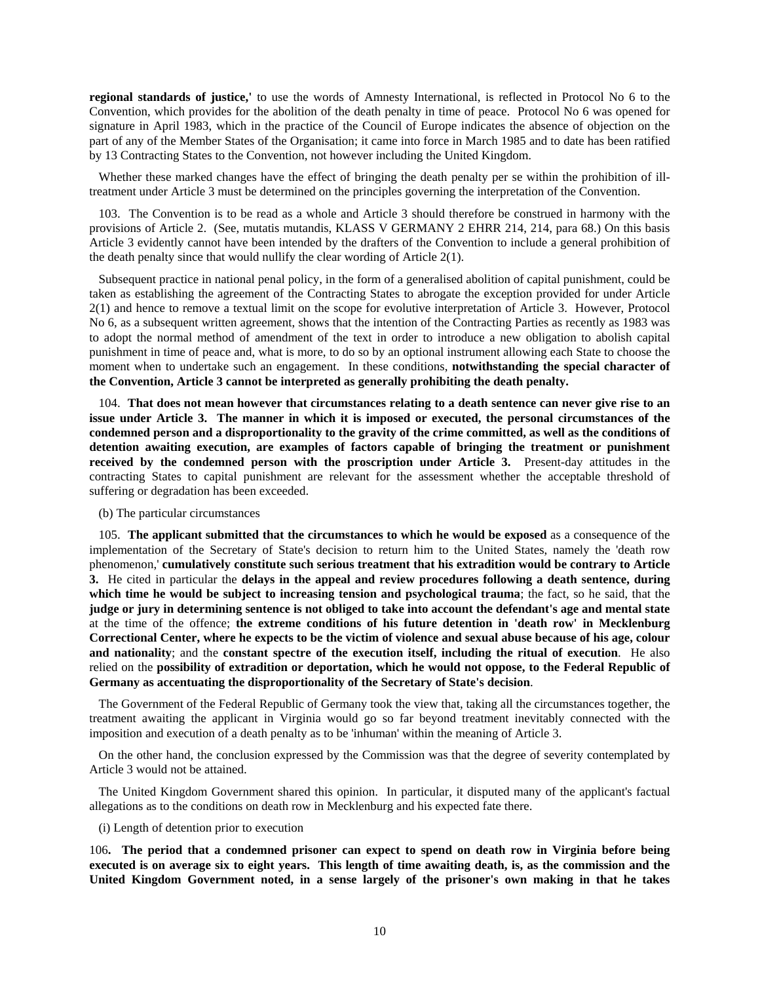**regional standards of justice,'** to use the words of Amnesty International, is reflected in Protocol No 6 to the Convention, which provides for the abolition of the death penalty in time of peace. Protocol No 6 was opened for signature in April 1983, which in the practice of the Council of Europe indicates the absence of objection on the part of any of the Member States of the Organisation; it came into force in March 1985 and to date has been ratified by 13 Contracting States to the Convention, not however including the United Kingdom.

 Whether these marked changes have the effect of bringing the death penalty per se within the prohibition of illtreatment under Article 3 must be determined on the principles governing the interpretation of the Convention.

 103. The Convention is to be read as a whole and Article 3 should therefore be construed in harmony with the provisions of Article 2. (See, mutatis mutandis, KLASS V GERMANY 2 EHRR 214, 214, para 68.) On this basis Article 3 evidently cannot have been intended by the drafters of the Convention to include a general prohibition of the death penalty since that would nullify the clear wording of Article 2(1).

 Subsequent practice in national penal policy, in the form of a generalised abolition of capital punishment, could be taken as establishing the agreement of the Contracting States to abrogate the exception provided for under Article 2(1) and hence to remove a textual limit on the scope for evolutive interpretation of Article 3. However, Protocol No 6, as a subsequent written agreement, shows that the intention of the Contracting Parties as recently as 1983 was to adopt the normal method of amendment of the text in order to introduce a new obligation to abolish capital punishment in time of peace and, what is more, to do so by an optional instrument allowing each State to choose the moment when to undertake such an engagement. In these conditions, **notwithstanding the special character of the Convention, Article 3 cannot be interpreted as generally prohibiting the death penalty.**

 104. **That does not mean however that circumstances relating to a death sentence can never give rise to an issue under Article 3. The manner in which it is imposed or executed, the personal circumstances of the condemned person and a disproportionality to the gravity of the crime committed, as well as the conditions of detention awaiting execution, are examples of factors capable of bringing the treatment or punishment received by the condemned person with the proscription under Article 3.** Present-day attitudes in the contracting States to capital punishment are relevant for the assessment whether the acceptable threshold of suffering or degradation has been exceeded.

#### (b) The particular circumstances

 105. **The applicant submitted that the circumstances to which he would be exposed** as a consequence of the implementation of the Secretary of State's decision to return him to the United States, namely the 'death row phenomenon,' **cumulatively constitute such serious treatment that his extradition would be contrary to Article 3.** He cited in particular the **delays in the appeal and review procedures following a death sentence, during which time he would be subject to increasing tension and psychological trauma**; the fact, so he said, that the **judge or jury in determining sentence is not obliged to take into account the defendant's age and mental state** at the time of the offence; **the extreme conditions of his future detention in 'death row' in Mecklenburg Correctional Center, where he expects to be the victim of violence and sexual abuse because of his age, colour and nationality**; and the **constant spectre of the execution itself, including the ritual of execution**. He also relied on the **possibility of extradition or deportation, which he would not oppose, to the Federal Republic of Germany as accentuating the disproportionality of the Secretary of State's decision**.

 The Government of the Federal Republic of Germany took the view that, taking all the circumstances together, the treatment awaiting the applicant in Virginia would go so far beyond treatment inevitably connected with the imposition and execution of a death penalty as to be 'inhuman' within the meaning of Article 3.

 On the other hand, the conclusion expressed by the Commission was that the degree of severity contemplated by Article 3 would not be attained.

 The United Kingdom Government shared this opinion. In particular, it disputed many of the applicant's factual allegations as to the conditions on death row in Mecklenburg and his expected fate there.

(i) Length of detention prior to execution

106**. The period that a condemned prisoner can expect to spend on death row in Virginia before being executed is on average six to eight years. This length of time awaiting death, is, as the commission and the United Kingdom Government noted, in a sense largely of the prisoner's own making in that he takes**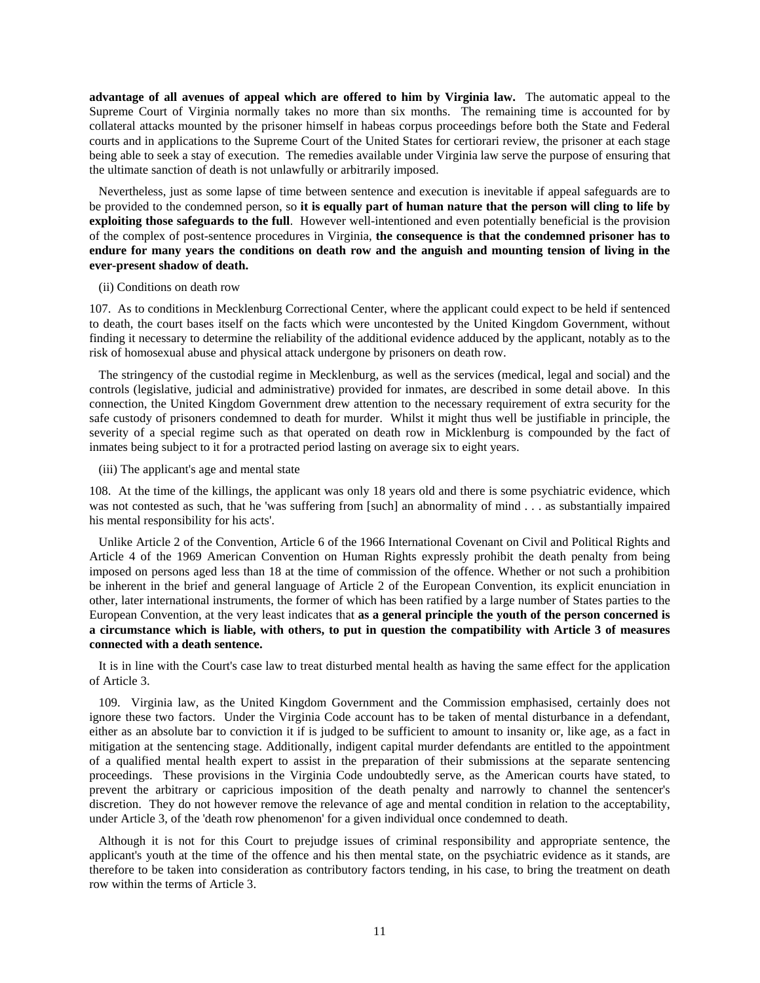**advantage of all avenues of appeal which are offered to him by Virginia law.** The automatic appeal to the Supreme Court of Virginia normally takes no more than six months. The remaining time is accounted for by collateral attacks mounted by the prisoner himself in habeas corpus proceedings before both the State and Federal courts and in applications to the Supreme Court of the United States for certiorari review, the prisoner at each stage being able to seek a stay of execution. The remedies available under Virginia law serve the purpose of ensuring that the ultimate sanction of death is not unlawfully or arbitrarily imposed.

 Nevertheless, just as some lapse of time between sentence and execution is inevitable if appeal safeguards are to be provided to the condemned person, so **it is equally part of human nature that the person will cling to life by exploiting those safeguards to the full**. However well-intentioned and even potentially beneficial is the provision of the complex of post-sentence procedures in Virginia, **the consequence is that the condemned prisoner has to endure for many years the conditions on death row and the anguish and mounting tension of living in the ever-present shadow of death.** 

#### (ii) Conditions on death row

107. As to conditions in Mecklenburg Correctional Center, where the applicant could expect to be held if sentenced to death, the court bases itself on the facts which were uncontested by the United Kingdom Government, without finding it necessary to determine the reliability of the additional evidence adduced by the applicant, notably as to the risk of homosexual abuse and physical attack undergone by prisoners on death row.

 The stringency of the custodial regime in Mecklenburg, as well as the services (medical, legal and social) and the controls (legislative, judicial and administrative) provided for inmates, are described in some detail above. In this connection, the United Kingdom Government drew attention to the necessary requirement of extra security for the safe custody of prisoners condemned to death for murder. Whilst it might thus well be justifiable in principle, the severity of a special regime such as that operated on death row in Micklenburg is compounded by the fact of inmates being subject to it for a protracted period lasting on average six to eight years.

(iii) The applicant's age and mental state

108. At the time of the killings, the applicant was only 18 years old and there is some psychiatric evidence, which was not contested as such, that he 'was suffering from [such] an abnormality of mind . . . as substantially impaired his mental responsibility for his acts'.

 Unlike Article 2 of the Convention, Article 6 of the 1966 International Covenant on Civil and Political Rights and Article 4 of the 1969 American Convention on Human Rights expressly prohibit the death penalty from being imposed on persons aged less than 18 at the time of commission of the offence. Whether or not such a prohibition be inherent in the brief and general language of Article 2 of the European Convention, its explicit enunciation in other, later international instruments, the former of which has been ratified by a large number of States parties to the European Convention, at the very least indicates that **as a general principle the youth of the person concerned is a circumstance which is liable, with others, to put in question the compatibility with Article 3 of measures connected with a death sentence.**

 It is in line with the Court's case law to treat disturbed mental health as having the same effect for the application of Article 3.

 109. Virginia law, as the United Kingdom Government and the Commission emphasised, certainly does not ignore these two factors. Under the Virginia Code account has to be taken of mental disturbance in a defendant, either as an absolute bar to conviction it if is judged to be sufficient to amount to insanity or, like age, as a fact in mitigation at the sentencing stage. Additionally, indigent capital murder defendants are entitled to the appointment of a qualified mental health expert to assist in the preparation of their submissions at the separate sentencing proceedings. These provisions in the Virginia Code undoubtedly serve, as the American courts have stated, to prevent the arbitrary or capricious imposition of the death penalty and narrowly to channel the sentencer's discretion. They do not however remove the relevance of age and mental condition in relation to the acceptability, under Article 3, of the 'death row phenomenon' for a given individual once condemned to death.

 Although it is not for this Court to prejudge issues of criminal responsibility and appropriate sentence, the applicant's youth at the time of the offence and his then mental state, on the psychiatric evidence as it stands, are therefore to be taken into consideration as contributory factors tending, in his case, to bring the treatment on death row within the terms of Article 3.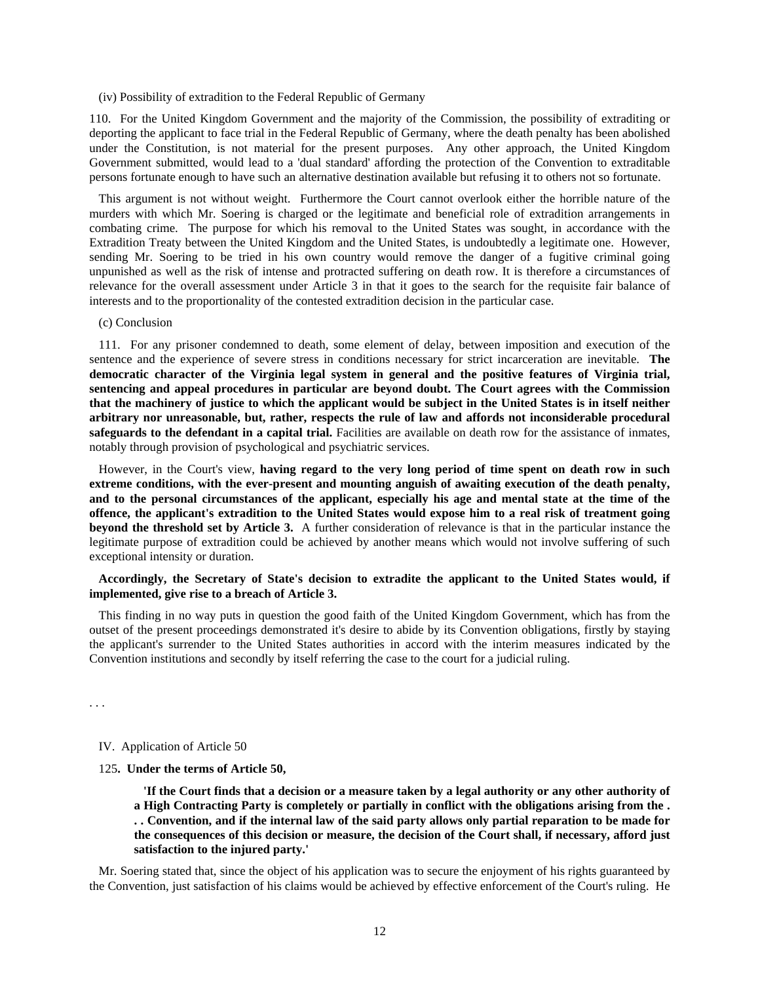(iv) Possibility of extradition to the Federal Republic of Germany

110. For the United Kingdom Government and the majority of the Commission, the possibility of extraditing or deporting the applicant to face trial in the Federal Republic of Germany, where the death penalty has been abolished under the Constitution, is not material for the present purposes. Any other approach, the United Kingdom Government submitted, would lead to a 'dual standard' affording the protection of the Convention to extraditable persons fortunate enough to have such an alternative destination available but refusing it to others not so fortunate.

 This argument is not without weight. Furthermore the Court cannot overlook either the horrible nature of the murders with which Mr. Soering is charged or the legitimate and beneficial role of extradition arrangements in combating crime. The purpose for which his removal to the United States was sought, in accordance with the Extradition Treaty between the United Kingdom and the United States, is undoubtedly a legitimate one. However, sending Mr. Soering to be tried in his own country would remove the danger of a fugitive criminal going unpunished as well as the risk of intense and protracted suffering on death row. It is therefore a circumstances of relevance for the overall assessment under Article 3 in that it goes to the search for the requisite fair balance of interests and to the proportionality of the contested extradition decision in the particular case.

### (c) Conclusion

 111. For any prisoner condemned to death, some element of delay, between imposition and execution of the sentence and the experience of severe stress in conditions necessary for strict incarceration are inevitable. **The democratic character of the Virginia legal system in general and the positive features of Virginia trial, sentencing and appeal procedures in particular are beyond doubt. The Court agrees with the Commission that the machinery of justice to which the applicant would be subject in the United States is in itself neither arbitrary nor unreasonable, but, rather, respects the rule of law and affords not inconsiderable procedural safeguards to the defendant in a capital trial.** Facilities are available on death row for the assistance of inmates, notably through provision of psychological and psychiatric services.

 However, in the Court's view, **having regard to the very long period of time spent on death row in such extreme conditions, with the ever-present and mounting anguish of awaiting execution of the death penalty, and to the personal circumstances of the applicant, especially his age and mental state at the time of the offence, the applicant's extradition to the United States would expose him to a real risk of treatment going beyond the threshold set by Article 3.** A further consideration of relevance is that in the particular instance the legitimate purpose of extradition could be achieved by another means which would not involve suffering of such exceptional intensity or duration.

## **Accordingly, the Secretary of State's decision to extradite the applicant to the United States would, if implemented, give rise to a breach of Article 3.**

 This finding in no way puts in question the good faith of the United Kingdom Government, which has from the outset of the present proceedings demonstrated it's desire to abide by its Convention obligations, firstly by staying the applicant's surrender to the United States authorities in accord with the interim measures indicated by the Convention institutions and secondly by itself referring the case to the court for a judicial ruling.

. . .

#### IV. Application of Article 50

#### 125**. Under the terms of Article 50,**

 **'If the Court finds that a decision or a measure taken by a legal authority or any other authority of a High Contracting Party is completely or partially in conflict with the obligations arising from the . . . Convention, and if the internal law of the said party allows only partial reparation to be made for the consequences of this decision or measure, the decision of the Court shall, if necessary, afford just satisfaction to the injured party.'** 

 Mr. Soering stated that, since the object of his application was to secure the enjoyment of his rights guaranteed by the Convention, just satisfaction of his claims would be achieved by effective enforcement of the Court's ruling. He